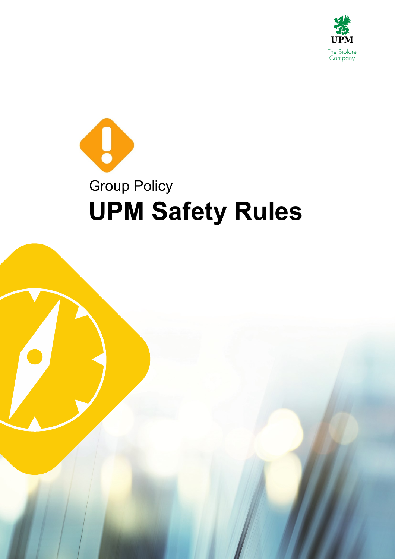



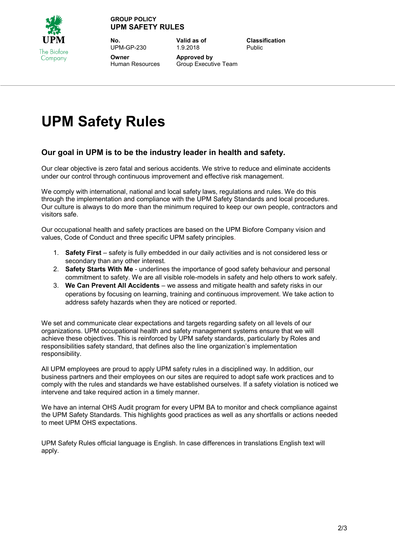

#### **GROUP POLICY UPM SAFETY RULES**

**No.** UPM-GP-230 **Owner** Human Resources **Valid as of** 1.9.2018 **Approved by**  Group Executive Team **Classification** Public

# **UPM Safety Rules**

### **Our goal in UPM is to be the industry leader in health and safety.**

Our clear objective is zero fatal and serious accidents. We strive to reduce and eliminate accidents under our control through continuous improvement and effective risk management.

We comply with international, national and local safety laws, regulations and rules. We do this through the implementation and compliance with the UPM Safety Standards and local procedures. Our culture is always to do more than the minimum required to keep our own people, contractors and visitors safe.

Our occupational health and safety practices are based on the UPM Biofore Company vision and values, Code of Conduct and three specific UPM safety principles.

- 1. **Safety First** safety is fully embedded in our daily activities and is not considered less or secondary than any other interest.
- 2. **Safety Starts With Me** underlines the importance of good safety behaviour and personal commitment to safety. We are all visible role-models in safety and help others to work safely.
- 3. **We Can Prevent All Accidents** we assess and mitigate health and safety risks in our operations by focusing on learning, training and continuous improvement. We take action to address safety hazards when they are noticed or reported.

We set and communicate clear expectations and targets regarding safety on all levels of our organizations. UPM occupational health and safety management systems ensure that we will achieve these objectives. This is reinforced by UPM safety standards, particularly by Roles and responsibilities safety standard, that defines also the line organization's implementation responsibility.

All UPM employees are proud to apply UPM safety rules in a disciplined way. In addition, our business partners and their employees on our sites are required to adopt safe work practices and to comply with the rules and standards we have established ourselves. If a safety violation is noticed we intervene and take required action in a timely manner.

We have an internal OHS Audit program for every UPM BA to monitor and check compliance against the UPM Safety Standards. This highlights good practices as well as any shortfalls or actions needed to meet UPM OHS expectations.

UPM Safety Rules official language is English. In case differences in translations English text will apply.